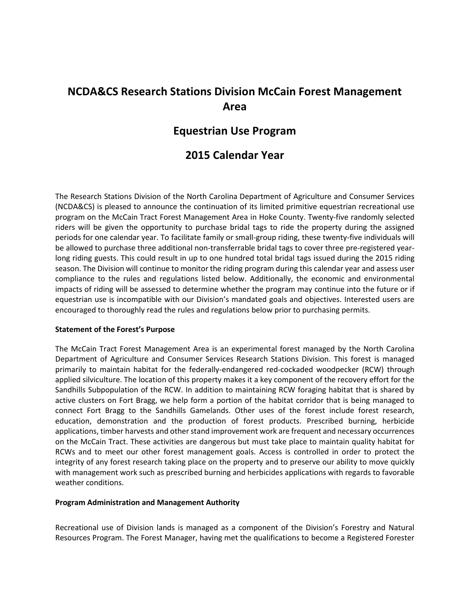# **NCDA&CS Research Stations Division McCain Forest Management Area**

## **Equestrian Use Program**

# **2015 Calendar Year**

The Research Stations Division of the North Carolina Department of Agriculture and Consumer Services (NCDA&CS) is pleased to announce the continuation of its limited primitive equestrian recreational use program on the McCain Tract Forest Management Area in Hoke County. Twenty-five randomly selected riders will be given the opportunity to purchase bridal tags to ride the property during the assigned periods for one calendar year. To facilitate family or small-group riding, these twenty-five individuals will be allowed to purchase three additional non-transferrable bridal tags to cover three pre-registered yearlong riding guests. This could result in up to one hundred total bridal tags issued during the 2015 riding season. The Division will continue to monitor the riding program during this calendar year and assess user compliance to the rules and regulations listed below. Additionally, the economic and environmental impacts of riding will be assessed to determine whether the program may continue into the future or if equestrian use is incompatible with our Division's mandated goals and objectives. Interested users are encouraged to thoroughly read the rules and regulations below prior to purchasing permits.

#### **Statement of the Forest's Purpose**

The McCain Tract Forest Management Area is an experimental forest managed by the North Carolina Department of Agriculture and Consumer Services Research Stations Division. This forest is managed primarily to maintain habitat for the federally-endangered red-cockaded woodpecker (RCW) through applied silviculture. The location of this property makes it a key component of the recovery effort for the Sandhills Subpopulation of the RCW. In addition to maintaining RCW foraging habitat that is shared by active clusters on Fort Bragg, we help form a portion of the habitat corridor that is being managed to connect Fort Bragg to the Sandhills Gamelands. Other uses of the forest include forest research, education, demonstration and the production of forest products. Prescribed burning, herbicide applications, timber harvests and other stand improvement work are frequent and necessary occurrences on the McCain Tract. These activities are dangerous but must take place to maintain quality habitat for RCWs and to meet our other forest management goals. Access is controlled in order to protect the integrity of any forest research taking place on the property and to preserve our ability to move quickly with management work such as prescribed burning and herbicides applications with regards to favorable weather conditions.

#### **Program Administration and Management Authority**

Recreational use of Division lands is managed as a component of the Division's Forestry and Natural Resources Program. The Forest Manager, having met the qualifications to become a Registered Forester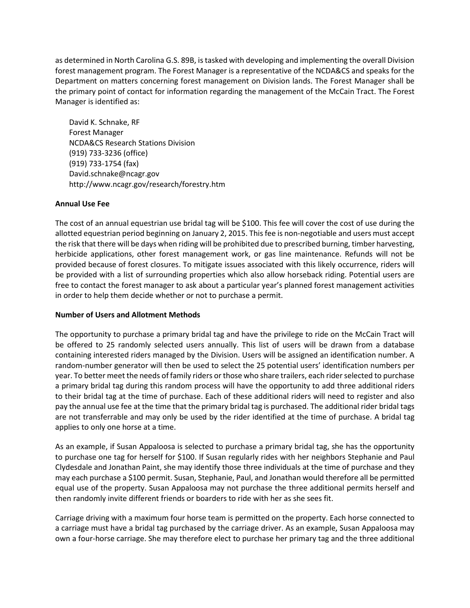as determined in North Carolina G.S. 89B, is tasked with developing and implementing the overall Division forest management program. The Forest Manager is a representative of the NCDA&CS and speaks for the Department on matters concerning forest management on Division lands. The Forest Manager shall be the primary point of contact for information regarding the management of the McCain Tract. The Forest Manager is identified as:

David K. Schnake, RF Forest Manager NCDA&CS Research Stations Division (919) 733-3236 (office) (919) 733-1754 (fax) [David.schnake@ncagr.gov](mailto:David.schnake@ncagr.gov) <http://www.ncagr.gov/research/forestry.htm>

### **Annual Use Fee**

The cost of an annual equestrian use bridal tag will be \$100. This fee will cover the cost of use during the allotted equestrian period beginning on January 2, 2015. This fee is non-negotiable and users must accept the risk that there will be days when riding will be prohibited due to prescribed burning, timber harvesting, herbicide applications, other forest management work, or gas line maintenance. Refunds will not be provided because of forest closures. To mitigate issues associated with this likely occurrence, riders will be provided with a list of surrounding properties which also allow horseback riding. Potential users are free to contact the forest manager to ask about a particular year's planned forest management activities in order to help them decide whether or not to purchase a permit.

### **Number of Users and Allotment Methods**

The opportunity to purchase a primary bridal tag and have the privilege to ride on the McCain Tract will be offered to 25 randomly selected users annually. This list of users will be drawn from a database containing interested riders managed by the Division. Users will be assigned an identification number. A random-number generator will then be used to select the 25 potential users' identification numbers per year. To better meet the needs of family riders or those who share trailers, each rider selected to purchase a primary bridal tag during this random process will have the opportunity to add three additional riders to their bridal tag at the time of purchase. Each of these additional riders will need to register and also pay the annual use fee at the time that the primary bridal tag is purchased. The additional rider bridal tags are not transferrable and may only be used by the rider identified at the time of purchase. A bridal tag applies to only one horse at a time.

As an example, if Susan Appaloosa is selected to purchase a primary bridal tag, she has the opportunity to purchase one tag for herself for \$100. If Susan regularly rides with her neighbors Stephanie and Paul Clydesdale and Jonathan Paint, she may identify those three individuals at the time of purchase and they may each purchase a \$100 permit. Susan, Stephanie, Paul, and Jonathan would therefore all be permitted equal use of the property. Susan Appaloosa may not purchase the three additional permits herself and then randomly invite different friends or boarders to ride with her as she sees fit.

Carriage driving with a maximum four horse team is permitted on the property. Each horse connected to a carriage must have a bridal tag purchased by the carriage driver. As an example, Susan Appaloosa may own a four-horse carriage. She may therefore elect to purchase her primary tag and the three additional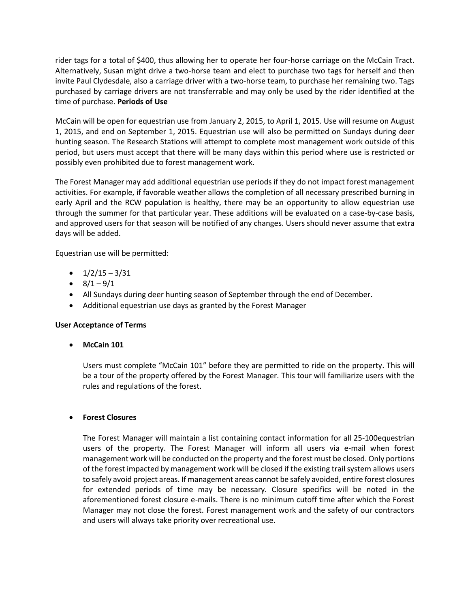rider tags for a total of \$400, thus allowing her to operate her four-horse carriage on the McCain Tract. Alternatively, Susan might drive a two-horse team and elect to purchase two tags for herself and then invite Paul Clydesdale, also a carriage driver with a two-horse team, to purchase her remaining two. Tags purchased by carriage drivers are not transferrable and may only be used by the rider identified at the time of purchase. **Periods of Use**

McCain will be open for equestrian use from January 2, 2015, to April 1, 2015. Use will resume on August 1, 2015, and end on September 1, 2015. Equestrian use will also be permitted on Sundays during deer hunting season. The Research Stations will attempt to complete most management work outside of this period, but users must accept that there will be many days within this period where use is restricted or possibly even prohibited due to forest management work.

The Forest Manager may add additional equestrian use periods if they do not impact forest management activities. For example, if favorable weather allows the completion of all necessary prescribed burning in early April and the RCW population is healthy, there may be an opportunity to allow equestrian use through the summer for that particular year. These additions will be evaluated on a case-by-case basis, and approved users for that season will be notified of any changes. Users should never assume that extra days will be added.

Equestrian use will be permitted:

- $\bullet$  1/2/15 3/31
- $\bullet$  8/1 9/1
- All Sundays during deer hunting season of September through the end of December.
- Additional equestrian use days as granted by the Forest Manager

### **User Acceptance of Terms**

**McCain 101**

Users must complete "McCain 101" before they are permitted to ride on the property. This will be a tour of the property offered by the Forest Manager. This tour will familiarize users with the rules and regulations of the forest.

### **Forest Closures**

The Forest Manager will maintain a list containing contact information for all 25-100equestrian users of the property. The Forest Manager will inform all users via e-mail when forest management work will be conducted on the property and the forest must be closed. Only portions of the forest impacted by management work will be closed if the existing trail system allows users to safely avoid project areas. If management areas cannot be safely avoided, entire forest closures for extended periods of time may be necessary. Closure specifics will be noted in the aforementioned forest closure e-mails. There is no minimum cutoff time after which the Forest Manager may not close the forest. Forest management work and the safety of our contractors and users will always take priority over recreational use.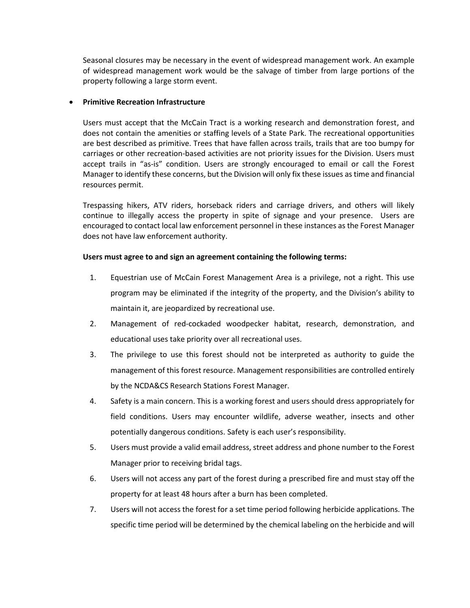Seasonal closures may be necessary in the event of widespread management work. An example of widespread management work would be the salvage of timber from large portions of the property following a large storm event.

#### **Primitive Recreation Infrastructure**

Users must accept that the McCain Tract is a working research and demonstration forest, and does not contain the amenities or staffing levels of a State Park. The recreational opportunities are best described as primitive. Trees that have fallen across trails, trails that are too bumpy for carriages or other recreation-based activities are not priority issues for the Division. Users must accept trails in "as-is" condition. Users are strongly encouraged to email or call the Forest Manager to identify these concerns, but the Division will only fix these issues as time and financial resources permit.

Trespassing hikers, ATV riders, horseback riders and carriage drivers, and others will likely continue to illegally access the property in spite of signage and your presence. Users are encouraged to contact local law enforcement personnel in these instances as the Forest Manager does not have law enforcement authority.

#### **Users must agree to and sign an agreement containing the following terms:**

- 1. Equestrian use of McCain Forest Management Area is a privilege, not a right. This use program may be eliminated if the integrity of the property, and the Division's ability to maintain it, are jeopardized by recreational use.
- 2. Management of red-cockaded woodpecker habitat, research, demonstration, and educational uses take priority over all recreational uses.
- 3. The privilege to use this forest should not be interpreted as authority to guide the management of this forest resource. Management responsibilities are controlled entirely by the NCDA&CS Research Stations Forest Manager.
- 4. Safety is a main concern. This is a working forest and users should dress appropriately for field conditions. Users may encounter wildlife, adverse weather, insects and other potentially dangerous conditions. Safety is each user's responsibility.
- 5. Users must provide a valid email address, street address and phone number to the Forest Manager prior to receiving bridal tags.
- 6. Users will not access any part of the forest during a prescribed fire and must stay off the property for at least 48 hours after a burn has been completed.
- 7. Users will not access the forest for a set time period following herbicide applications. The specific time period will be determined by the chemical labeling on the herbicide and will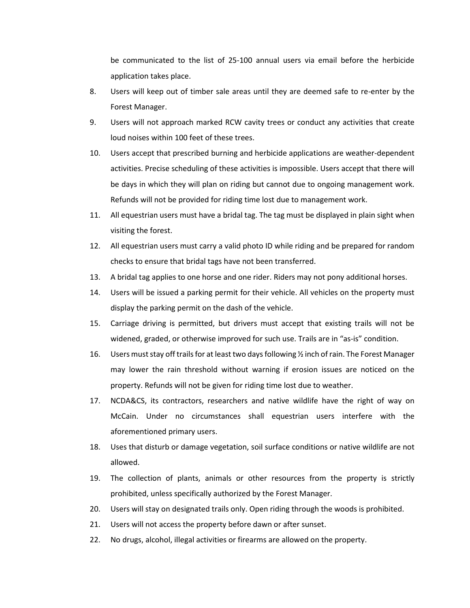be communicated to the list of 25-100 annual users via email before the herbicide application takes place.

- 8. Users will keep out of timber sale areas until they are deemed safe to re-enter by the Forest Manager.
- 9. Users will not approach marked RCW cavity trees or conduct any activities that create loud noises within 100 feet of these trees.
- 10. Users accept that prescribed burning and herbicide applications are weather-dependent activities. Precise scheduling of these activities is impossible. Users accept that there will be days in which they will plan on riding but cannot due to ongoing management work. Refunds will not be provided for riding time lost due to management work.
- 11. All equestrian users must have a bridal tag. The tag must be displayed in plain sight when visiting the forest.
- 12. All equestrian users must carry a valid photo ID while riding and be prepared for random checks to ensure that bridal tags have not been transferred.
- 13. A bridal tag applies to one horse and one rider. Riders may not pony additional horses.
- 14. Users will be issued a parking permit for their vehicle. All vehicles on the property must display the parking permit on the dash of the vehicle.
- 15. Carriage driving is permitted, but drivers must accept that existing trails will not be widened, graded, or otherwise improved for such use. Trails are in "as-is" condition.
- 16. Users must stay off trails for at least two days following ½ inch of rain. The Forest Manager may lower the rain threshold without warning if erosion issues are noticed on the property. Refunds will not be given for riding time lost due to weather.
- 17. NCDA&CS, its contractors, researchers and native wildlife have the right of way on McCain. Under no circumstances shall equestrian users interfere with the aforementioned primary users.
- 18. Uses that disturb or damage vegetation, soil surface conditions or native wildlife are not allowed.
- 19. The collection of plants, animals or other resources from the property is strictly prohibited, unless specifically authorized by the Forest Manager.
- 20. Users will stay on designated trails only. Open riding through the woods is prohibited.
- 21. Users will not access the property before dawn or after sunset.
- 22. No drugs, alcohol, illegal activities or firearms are allowed on the property.